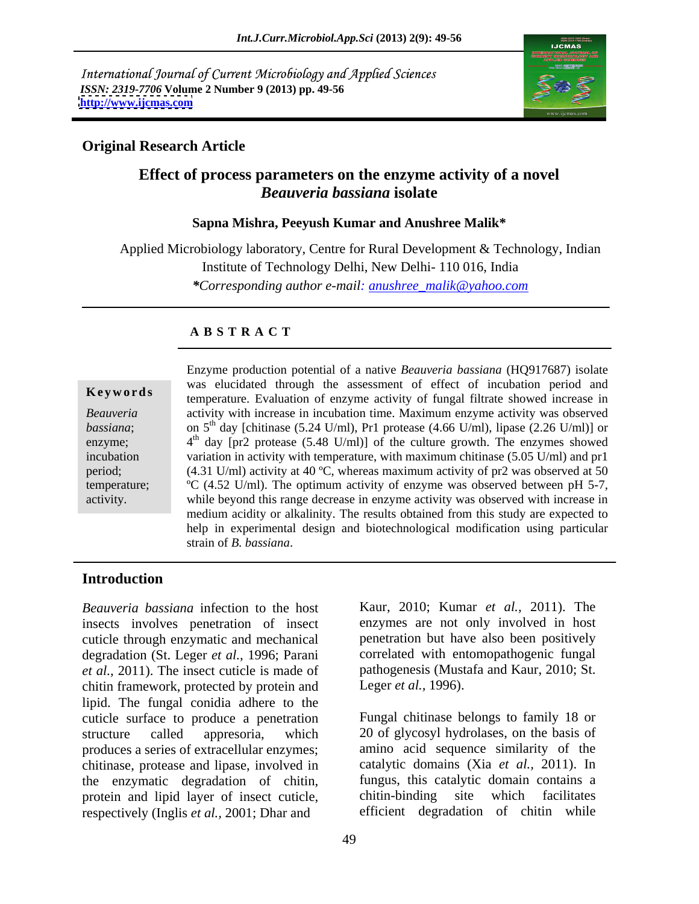International Journal of Current Microbiology and Applied Sciences *ISSN: 2319-7706* **Volume 2 Number 9 (2013) pp. 49-56 <http://www.ijcmas.com>**



### **Original Research Article**

# **Effect of process parameters on the enzyme activity of a novel**  *Beauveria bassiana* **isolate**

### **Sapna Mishra, Peeyush Kumar and Anushree Malik\***

Applied Microbiology laboratory, Centre for Rural Development & Technology, Indian Institute of Technology Delhi, New Delhi- 110 016, India *\*Corresponding author e-mail: anushree\_malik@yahoo.com*

### **A B S T R A C T**

**Keywords**temperature. Evaluation of enzyme activity of fungal filtrate showed increase in *Beauveria*  activity with increase in incubation time. Maximum enzyme activity was observed *bassiana*; on 5<sup>th</sup> day [chitinase (5.24 U/ml), Pr1 protease (4.66 U/ml), lipase (2.26 U/ml)] or enzyme;  $4<sup>th</sup>$  day [pr2 protease (5.48 U/ml)] of the culture growth. The enzymes showed incubation variation in activity with temperature, with maximum chitinase (5.05 U/ml) and pr1 period; (4.31 U/ml) activity at 40 ºC, whereas maximum activity of pr2 was observed at 50 temperature; ºC (4.52 U/ml). The optimum activity of enzyme was observed between pH 5-7, activity. while beyond this range decrease in enzyme activity was observed with increase in Enzyme production potential of a native *Beauveria bassiana* (HQ917687) isolate was elucidated through the assessment of effect of incubation period and medium acidity or alkalinity. The results obtained from this study are expected to help in experimental design and biotechnological modification using particular strain of *B. bassiana*.

### **Introduction**

*Beauveria bassiana* infection to the host insects involves penetration of insect cuticle through enzymatic and mechanical degradation (St. Leger *et al.,* 1996; Parani *et al.,* 2011). The insect cuticle is made of chitin framework, protected by protein and lipid. The fungal conidia adhere to the cuticle surface to produce a penetration structure called appresoria, which 20 of glycosyl hydrolases, on the basis of produces a series of extracellular enzymes; chitinase, protease and lipase, involved in the enzymatic degradation of chitin, fungus, this catalytic domain<br>protein and lipid laver of insect cuticle. chitin-binding site which protein and lipid layer of insect cuticle, chitin-binding site which facilitates respectively (Inglis *et al.,* 2001; Dhar and

Kaur, 2010; Kumar *et al.,* 2011). The enzymes are not only involved in host penetration but have also been positively correlated with entomopathogenic fungal pathogenesis (Mustafa and Kaur, 2010; St. Leger *et al.,* 1996).

Fungal chitinase belongs to family 18 or amino acid sequence similarity of the catalytic domains (Xia *et al.,* 2011). In fungus, this catalytic domain contains a chitin-binding site which facilitates efficient degradation of chitin while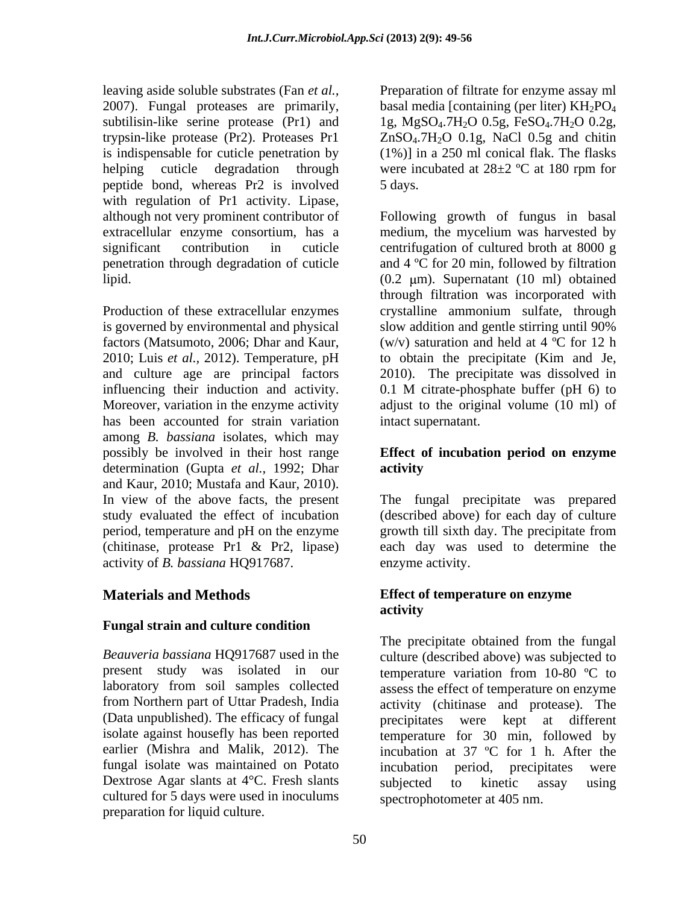is indispensable for cuticle penetration by peptide bond, whereas Pr2 is involved with regulation of Pr1 activity. Lipase,

is governed by environmental and physical slow addition and gentle stirring until 90% factors (Matsumoto, 2006; Dhar and Kaur, and culture age are principal factors influencing their induction and activity. has been accounted for strain variation among *B. bassiana* isolates, which may possibly be involved in their host range **Effect of incubation period on enzyme** determination (Gupta *et al.,* 1992; Dhar and Kaur, 2010; Mustafa and Kaur, 2010). In view of the above facts, the present study evaluated the effect of incubation (described above) for each day of culture period, temperature and pH on the enzyme growth till sixth day. The precipitate from (chitinase, protease Pr1 & Pr2, lipase) each day was used to determine the activity of *B. bassiana* HQ917687.

## **Fungal strain and culture condition**

*Beauveria bassiana* HQ917687 used in the laboratory from soil samples collected (Data unpublished). The efficacy of fungal precipitates were kept at different fungal isolate was maintained on Potato Dextrose Agar slants at 4°C. Fresh slants subjected to kinetic assay using cultured for 5 days were used in inoculums preparation for liquid culture.

leaving aside soluble substrates (Fan *et al.,* Preparation of filtrate for enzyme assay ml 2007). Fungal proteases are primarily, basal media [containing (per liter)  $KH_2PO_4$ subtilisin-like serine protease  $(Pr1)$  and 1g, MgSO<sub>4</sub>.7H<sub>2</sub>O 0.5g, FeSO<sub>4</sub>.7H<sub>2</sub>O 0.2g, trypsin-like protease (Pr2). Proteases Pr1 ZnSO<sub>4</sub>.7H<sub>2</sub>O 0.1g, NaCl 0.5g and chitin helping cuticle degradation through were incubated at  $28\pm2$  °C at 180 rpm for (1%)] in a 250 ml conical flak. The flasks 5 days.

although not very prominent contributor of Following growth of fungus in basal extracellular enzyme consortium, has a medium, the mycelium was harvested by significant contribution in cuticle centrifugation of cultured broth at 8000 g penetration through degradation of cuticle and 4 ºC for 20 min, followed by filtration lipid. (0.2 m). Supernatant (10 ml) obtained Production of these extracellular enzymes crystalline ammonium sulfate, through 2010; Luis *et al.,* 2012). Temperature, pH to obtain the precipitate (Kim and Je, Moreover, variation in the enzyme activity adjust to the original volume (10 ml) of through filtration was incorporated with slow addition and gentle stirring until 90% (w/v) saturation and held at  $4^{\circ}$ C for 12 h 2010). The precipitate was dissolved in 0.1 M citrate-phosphate buffer (pH 6) to intact supernatant.

# **activity**

The fungal precipitate was prepared enzyme activity.

### **Materials and Methods Effect of temperature on enzyme activity**

present study was isolated in our temperature variation from 10-80 ºC to from Northern part of Uttar Pradesh, India activity (chitinase and protease). The isolate against housefly has been reported temperature for 30 min, followed by earlier (Mishra and Malik, 2012). The incubation at 37 °C for 1 h. After the The precipitate obtained from the fungal culture (described above) was subjected to assess the effect of temperature on enzyme precipitates were kept at different incubation period, precipitates were subjected to kinetic assay using spectrophotometer at 405 nm.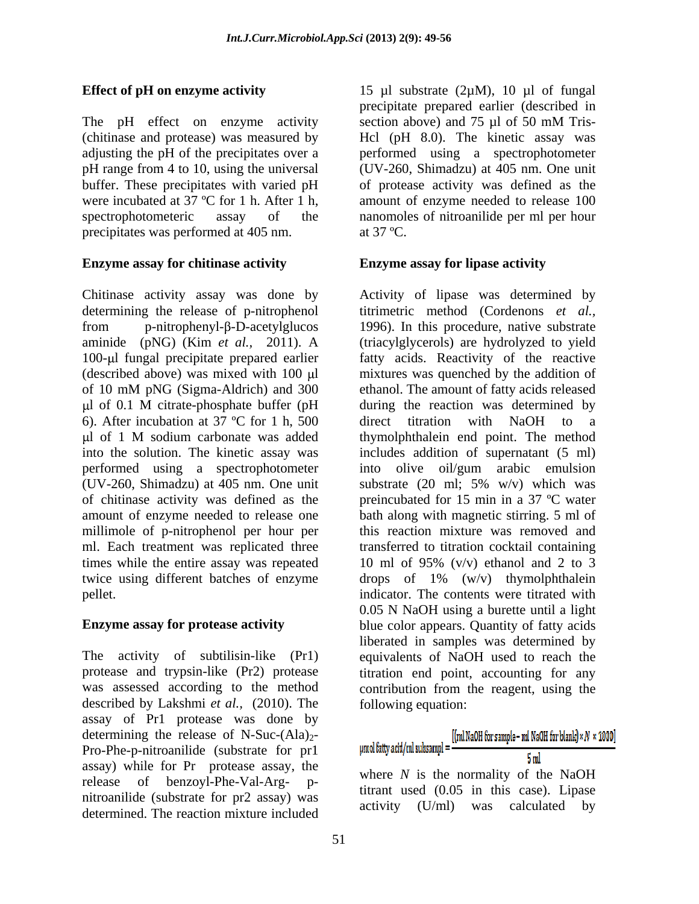The pH effect on enzyme activity section above) and  $75 \mu l$  of  $50 \text{ mM}$  Trisprecipitates was performed at 405 nm. at 37 °C.

### **Enzyme assay for chitinase activity**

determining the release of p-nitrophenol 6). After incubation at 37 °C for 1 h, 500 direct titration with NaOH to a millimole of p-nitrophenol per hour per times while the entire assay was repeated

described by Lakshmi *et al.,* (2010). The assay of Pr1 protease was done by determining the release of N-Suc- $(Ala)_2$ -<br>Pro-Phe-p-pitroanilide (substrate for pr1 unoliatty add/mlsubsampl= $\frac{[(ml\text{NaOH for sample}-ml\text{NaOH for blue})\times N\times1000]}{l}$ Pro-Phe-p-nitroanilide (substrate for pr1  $\mu$  mollathy add/ml subsampl =  $\frac{5 \text{ m}}{5 \text{ m}}$ assay) while for Pr protease assay, the release of benzoyl-Phe-Val-Arg- p nitroanilide (substrate for pr2 assay) was determined. The reaction mixture included

**Effect of pH on enzyme activity** 15 µl substrate (2µM), 10 µl of fungal (chitinase and protease) was measured by Hcl (pH 8.0). The kinetic assay was adjusting the pH of the precipitates over a performed using a spectrophotometer pH range from 4 to 10, using the universal (UV-260, Shimadzu) at 405 nm. One unit buffer. These precipitates with varied pH of protease activity was defined as the were incubated at 37 °C for 1 h. After 1 h, amount of enzyme needed to release 100 spectrophotometeric assay of the nanomoles of nitroanilide per ml per hour precipitate prepared earlier (described in section above) and 75 µl of 50 mM Trisat  $37 \text{ °C}$ .

### **Enzyme assay for lipase activity**

Chitinase activity assay was done by Activity of lipase was determined by from  $p$ -nitrophenyl- $\beta$ -D-acetylglucos 1996). In this procedure, native substrate aminide (pNG) (Kim *et al.,* 2011). A (triacylglycerols) are hydrolyzed to yield 100-µl fungal precipitate prepared earlier fatty acids. Reactivity of the reactive (described above) was mixed with  $100 \mu l$  mixtures was quenched by the addition of of 10 mM pNG (Sigma-Aldrich) and 300 ethanol. The amount of fatty acids released l of 0.1 M citrate-phosphate buffer (pH l of 1 M sodium carbonate was added thymolphthalein end point. The method into the solution. The kinetic assay was includes addition of supernatant (5 ml) performed using a spectrophotometer into olive oil/gum arabic emulsion (UV-260, Shimadzu) at 405 nm. One unit substrate (20 ml; 5% w/v) which was of chitinase activity was defined as the preincubated for 15 min in a 37 ºC water amount of enzyme needed to release one bath along with magnetic stirring. 5 ml of ml. Each treatment was replicated three transferred to titration cocktail containing twice using different batches of enzyme drops of 1% (w/v) thymolphthalein pellet. indicator. The contents were titrated with **Enzyme assay for protease activity** blue color appears. Quantity of fatty acids The activity of subtilisin-like (Pr1) equivalents of NaOH used to reach the protease and trypsin-like (Pr2) protease titration end point, accounting for any was assessed according to the method contribution from the reagent, using the titrimetric method (Cordenons *et al.,* during the reaction was determined by direct titration with NaOH to a this reaction mixture was removed and 10 ml of 95%  $(v/v)$  ethanol and 2 to 3 0.05 N NaOH using a burette until a light liberated in samples was determined by following equation:

where *N* is the normality of the NaOH titrant used (0.05 in this case). Lipase activity (U/ml) was calculated by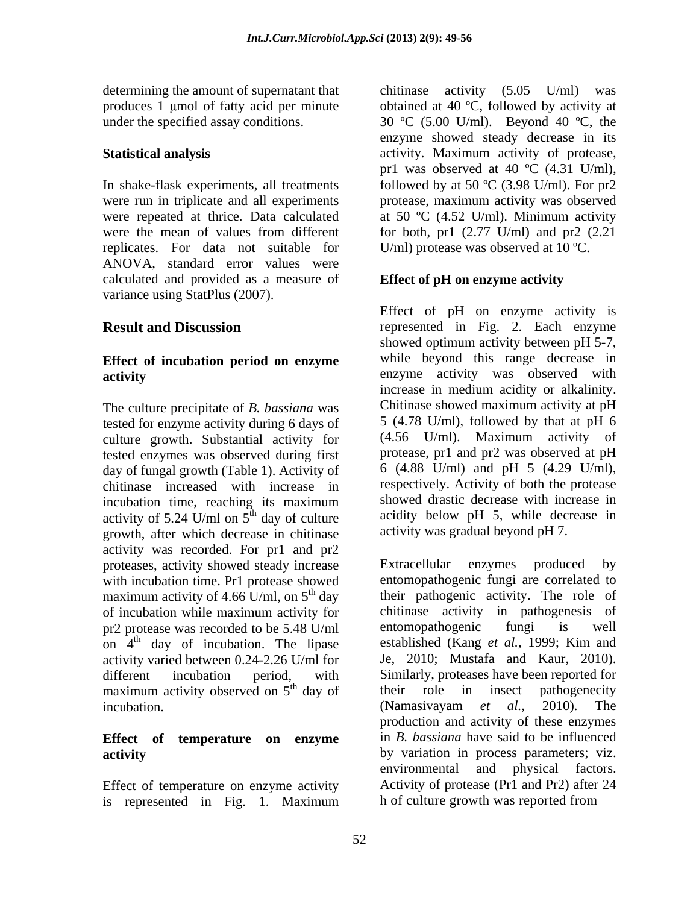determining the amount of supernatant that chitinase activity (5.05 U/ml) was

replicates. For data not suitable for ANOVA, standard error values were calculated and provided as a measure of variance using StatPlus (2007).

# **Effect of incubation period on enzyme**

The culture precipitate of *B. bassiana* was tested for enzyme activity during 6 days of  $\frac{5(4.78 \text{ U/ml})}{6}$ , followed by that at pH 6<br>culture growth Substantial activity for  $\frac{(4.56 \text{ U/ml})}{6}$ . Maximum activity of culture growth. Substantial activity for tested enzymes was observed during first day of fungal growth (Table 1). Activity of chitinase increased with increase in activity of 5.24 U/ml on  $5<sup>th</sup>$  day of culture growth, after which decrease in chitinase activity was recorded. For pr1 and pr2 proteases, activity showed steady increase Extracellular enzymes produced by with incubation time. Pr1 protease showed maximum activity of 4.66 U/ml, on  $5<sup>th</sup>$  day of incubation while maximum activity for pr2 protease was recorded to be 5.48 U/ml entomopathogenic fungi is well activity varied between 0.24-2.26 U/ml for maximum activity observed on  $5<sup>th</sup>$  day of their role in insect pathogenecity

Effect of temperature on enzyme activity is represented in Fig. 1. Maximum

produces 1  $\mu$ mol of fatty acid per minute obtained at 40 °C, followed by activity at under the specified assay conditions.  $30 \text{ °C}$  (5.00 U/ml). Beyond 40  $\text{ °C}$ , the **Statistical analysis** activity. Maximum activity of protease, In shake-flask experiments, all treatments followed by at 50 ºC (3.98 U/ml). For pr2 were run in triplicate and all experiments protease, maximum activity was observed were repeated at thrice. Data calculated at 50 °C (4.52 U/ml). Minimum activity were the mean of values from different for both, pr1 (2.77 U/ml) and pr2 (2.21 chitinase activity  $(5.05 \text{ U/ml})$ enzyme showed steady decrease in its pr1 was observed at 40 °C (4.31 U/ml), U/ml) protease was observed at 10 ºC.

### **Effect of pH on enzyme activity**

**Result and Discussion** represented in Fig. 2. Each enzyme **activity** enzyme activity was observed with incubation time, reaching its maximum showed drastic decrease with increase in  $t<sup>th</sup>$  day of culture acidity below pH 5, while decrease in Effect of pH on enzyme activity is showed optimum activity between pH 5-7, while beyond this range decrease in increase in medium acidity or alkalinity. Chitinase showed maximum activity at pH 5 (4.78 U/ml), followed by that at pH 6 (4.56 U/ml). Maximum activity of protease, pr1 and pr2 was observed at pH 6 (4.88 U/ml) and pH 5 (4.29 U/ml), respectively. Activity of both the protease showed drastic decrease with increase in activity was gradual beyond pH 7.

on  $4<sup>th</sup>$  day of incubation. The lipase established (Kang *et al.*, 1999; Kim and different incubation period, with Similarly, proteases have been reported for <sup>th</sup> day of their role in insect pathogenecity incubation. The contract is the contract of the contract of the contract of the contract of the contract of the contract of the contract of the contract of the contract of the contract of the contract of the contract of th **Effect of temperature on enzyme** in *B. bassiana* have said to be influenced **activity by** variation in process parameters; viz. Extracellular enzymes produced by entomopathogenic fungi are correlated to their pathogenic activity. The role of chitinase activity in pathogenesis of entomopathogenic fungi is well established (Kang *et al.,* 1999; Kim and Je, 2010; Mustafa and Kaur, 2010). their role in insect pathogenecity (Namasivayam *et al.,* 2010). The production and activity of these enzymes environmental and physical factors. Activity of protease (Pr1 and Pr2) after 24 h of culture growth was reported from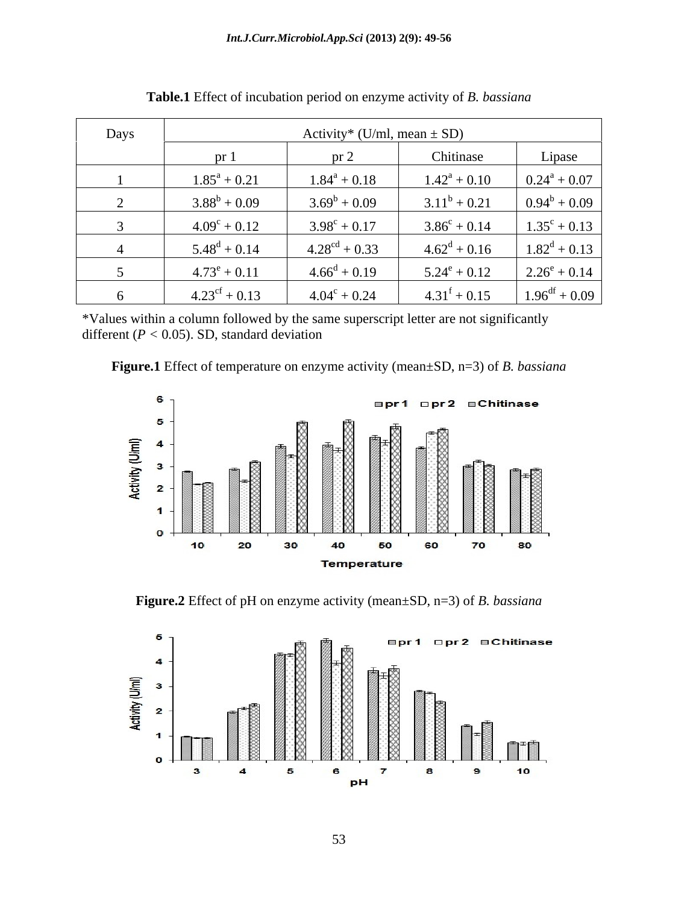| Days | Activity* (U/ml, mean $\pm$ SD) |                           |                            |                           |
|------|---------------------------------|---------------------------|----------------------------|---------------------------|
|      | $pr_1$                          | pr <sub>2</sub>           | Chitinase                  | Lipase                    |
|      | $1.85^a + 0.21$                 | $1.84^a + 0.18$           | $1.42^{\rm a} + 0.10$      | $0.24^a + 0.07$           |
|      | $3.88^b + 0.09$                 | $3.69^b + 0.09$           | $3.11^b + 0.21$            | $0.94^b + 0.09$           |
|      | $4.09^{\circ} + 0.12$           | $3.98^{\circ} + 0.17$     | $3.86^{\circ} + 0.14$      | $1.35^{\circ} + 0.13$     |
|      | $5.48^d + 0.14$                 | $4.28^{\text{cd}} + 0.33$ | $4.62^d + 0.16$            | $1.82^d + 0.13$           |
|      | $4.73^e + 0.11$                 | $4.66^{\rm d} + 0.19$     | $5.24^e + 0.12$            | $2.26^e + 0.14$           |
|      | $4.23^{\text{cf}} + 0.13$       | $4.04^{\circ} + 0.24$     | $4.31^{\mathrm{f}} + 0.15$ | $1.96^{\text{df}} + 0.09$ |

**Table.1** Effect of incubation period on enzyme activity of *B. bassiana*

\*Values within a column followed by the same superscript letter are not significantly different ( $P < 0.05$ ). SD, standard deviation

**Figure.1** Effect of temperature on enzyme activity (mean±SD, n=3) of *B. bassiana*



**Figure.2** Effect of pH on enzyme activity (mean±SD, n=3) of *B. bassiana*

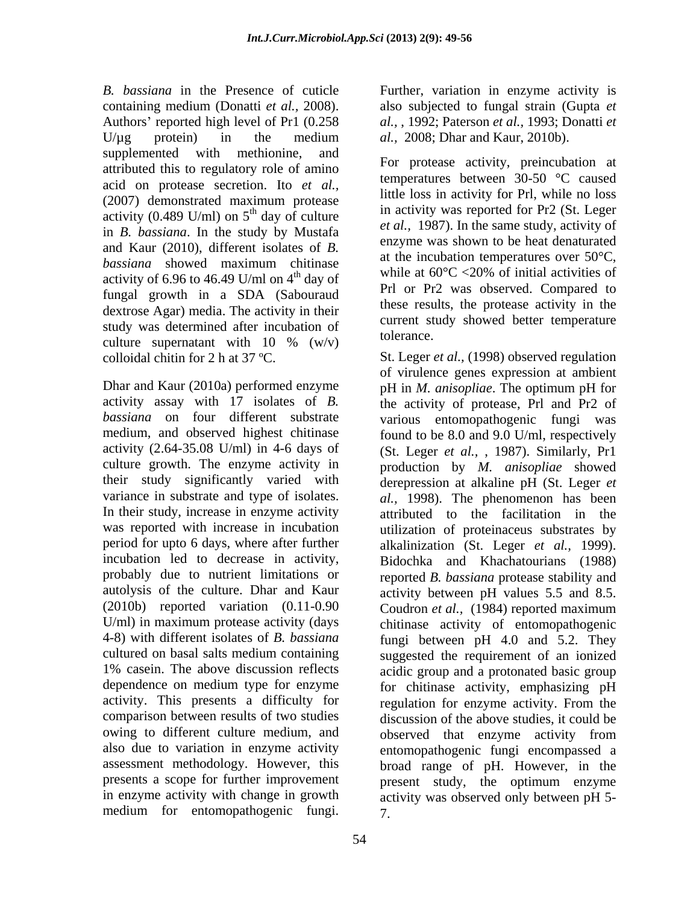*B. bassiana* in the Presence of cuticle Further, variation in enzyme activity is containing medium (Donatti *et al.,* 2008). also subjected to fungal strain (Gupta *et*  Authors' reported high level of Pr1  $(0.258)$  $U/\mu$ g protein) in the medium *al.*, 2008; Dhar and Kaur, 2010b). supplemented with methionine, and attributed this to regulatory role of amino acid on protease secretion. Ito *et al.,* (2007) demonstrated maximum protease activity (0.489 U/ml) on  $5<sup>th</sup>$  day of culture in *B. bassiana*. In the study by Mustafa and Kaur (2010), different isolates of *B. bassiana* showed maximum chitinase activity of 6.96 to 46.49 U/ml on  $4<sup>th</sup>$  day of fungal growth in a SDA (Sabouraud dextrose Agar) media. The activity in their study was determined after incubation of  $\frac{\text{current}}{\text{tol}}$ culture supernatant with  $10\%$  (w/v) columns to the column value of  $\alpha$ 

*bassiana* on four different substrate activity (2.64-35.08 U/ml) in 4-6 days of culture growth. The enzyme activity in variance in substrate and type of isolates. In their study, increase in enzyme activity was reported with increase in incubation incubation led to decrease in activity, (2010b) reported variation (0.11-0.90 comparison between results of two studies assessment methodology. However, this medium for entomopathogenic fungi.

54

*al.,* , 1992; Paterson *et al.,* 1993; Donatti *et al.,* 2008; Dhar and Kaur, 2010b).

<sup>th</sup> day of culture and activity was reported for Pr<sub>2</sub> (St. Leger For protease activity, preincubation at temperatures between 30-50 °C caused little loss in activity for Prl, while no loss in activity was reported for Pr2 (St. Leger *et al.,* 1987). In the same study, activity of enzyme was shown to be heat denaturated at the incubation temperatures over 50°C, while at 60°C <20% of initial activities of Prl or Pr2 was observed. Compared to these results, the protease activity in the current study showed better temperature tolerance.

colloidal chitin for 2 h at 37 ºC. St. Leger *et al.,* (1998) observed regulation Dhar and Kaur (2010a) performed enzyme pH in *M. anisopliae*. The optimum pH for activity assay with 17 isolates of *B.* the activity of protease, Prl and Pr2 of medium, and observed highest chitinase found to be 8.0 and 9.0 U/ml, respectively their study significantly varied with derepression at alkaline pH (St. Leger *et*  period for upto 6 days, where after further alkalinization (St. Leger *et al.,* 1999). probably due to nutrient limitations or reported *B. bassiana* protease stability and autolysis of the culture. Dhar and Kaur activity between pH values 5.5 and 8.5. U/ml) in maximum protease activity (days chitinase activity of entomopathogenic 4-8) with different isolates of *B. bassiana* fungi between pH 4.0 and 5.2. They cultured on basal salts medium containing suggested the requirement of an ionized 1% casein. The above discussion reflects acidic group and a protonated basicgroup dependence on medium type for enzyme for chitinase activity, emphasizing pH activity. This presents a difficulty for regulation for enzyme activity. From the owing to different culture medium, and observed that enzyme activity from also due to variation in enzyme activity entomopathogenic fungi encompassed a presents a scope for further improvement present study, the optimum enzyme in enzyme activity with change in growth activity was observed only between pH 5 of virulence genes expression at ambient various entomopathogenic fungi was (St. Leger *et al.,* , 1987). Similarly, Pr1 production by *M. anisopliae* showed *al.,* 1998). The phenomenon has been attributed to the facilitation in the utilization of proteinaceus substrates by Bidochka and Khachatourians (1988) Coudron *et al.,* (1984) reported maximum discussion of the above studies, it could be broad range of pH. However, in the 7.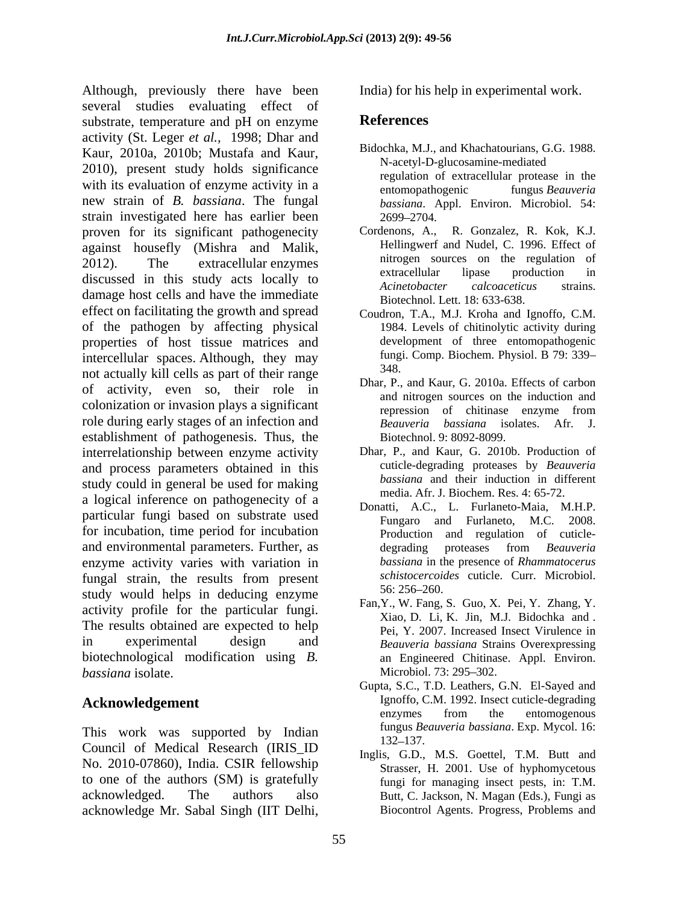Although, previously there have been several studies evaluating effect of substrate, temperature and pH on enzyme References activity (St. Leger *et al.,* 1998; Dhar and Kaur, 2010a, 2010b; Mustafa and Kaur, 2010), present study holds significance with its evaluation of enzyme activity in a<br>entomopathogenic fungus Beauveria new strain of *B. bassiana*. The fungal strain investigated here has earlier been proven for its significant pathogenecity Cordenons, A., against housefly (Mishra and Malik, 2012). The extracellular enzymes nitrogen sources on the regulation of discussed in this study acts locally to the extracellular lipase production in discussed in this study acts locally to  $A$ *cinetobacter calcoaceticus* strains. damage host cells and have the immediate effect on facilitating the growth and spread of the pathogen by affecting physical properties of host tissue matrices and intercellular spaces. Although, they may funging not actually kill cells as part of their range of activity, even so, their role in colonization or invasion plays a significant<br>repression of chitinase enzyme from role during early stages of an infection and *Beauveria bassiana* isolates. Afr. J. establishment of pathogenesis. Thus, the interrelationship between enzyme activity and process parameters obtained in this study could in general be used for making a logical inference on pathogenecity of a particular fungi based on substrate used<br>Fungaro and Furlaneto, M.C. 2008. for incubation, time period for incubation and environmental parameters. Further, as degrading proteases from *Beauveria* enzyme activity varies with variation in fungal strain, the results from present *schistocercoid*<br>ctudy would helpe in deducing on which the 56:256–260. study would helps in deducing enzyme activity profile for the particular fungi. The results obtained are expected to help in experimental design and *Beauveria bassiana* Strains Overexpressing biotechnological modification using *B.*  **bassiana** isolate. Microbiol. 73: 295–302.

This work was supported by Indian  $\frac{132-137}{132}$ . Council of Medical Research (IRIS\_ID No. 2010-07860), India. CSIR fellowship to one of the authors (SM) is gratefully acknowledged. The authors also Butt, C. Jackson, N. Magan (Eds.), Fungi as acknowledge Mr. Sabal Singh (IIT Delhi,

India) for his help in experimental work.

## **References**

- Bidochka, M.J., and Khachatourians, G.G. 1988. N-acetyl-D-glucosamine-mediated regulation of extracellular protease in the entomopathogenic fungus *Beauveria bassiana*. Appl. Environ. Microbiol. 54: 2699 2704.
- R. Gonzalez, R. Kok, K.J. Hellingwerf and Nudel, C. 1996. Effect of extracellular lipase production in *Acinetobacter calcoaceticus* strains. Biotechnol. Lett. 18: 633-638.
- Coudron, T.A., M.J. Kroha and Ignoffo, C.M. 1984. Levels of chitinolytic activity during development of three entomopathogenic fungi. Comp. Biochem. Physiol. B 79: 339 348.
- Dhar, P., and Kaur, G. 2010a. Effects of carbon and nitrogen sources on the induction and repression of chitinase enzyme from *Beauveria bassiana* isolates. Afr. J. Biotechnol. 9: 8092-8099.
- Dhar, P., and Kaur, G. 2010b. Production of cuticle-degrading proteases by *Beauveria bassiana* and their induction in different media. Afr. J. Biochem. Res. 4: 65-72.
- Donatti, A.C., L. Furlaneto-Maia, M.H.P. Fungaro and Furlaneto, M.C. Production and regulation of cuticle degrading proteases from *Beauveria bassiana* in the presence of *Rhammatocerus schistocercoides* cuticle. Curr. Microbiol. 56: 256 260.
- Fan,Y., W. Fang, S. Guo, X. Pei, Y. Zhang, Y. Xiao, D. Li, K. Jin, M.J. Bidochka and . Pei, Y. 2007. Increased Insect Virulence in an Engineered Chitinase. Appl. Environ. Microbiol. 73: 295–302.
- Acknowledgement **Ignoffo, C.M. 1992.** Insect cuticle-degrading Gupta, S.C., T.D. Leathers, G.N. El-Sayed and enzymes from the entomogenous fungus *Beauveria bassiana*. Exp. Mycol. 16: 132 137.
	- Inglis, G.D., M.S. Goettel, T.M. Butt and Strasser, H. 2001. Use of hyphomycetous fungi for managing insect pests, in: T.M. Biocontrol Agents. Progress, Problems and